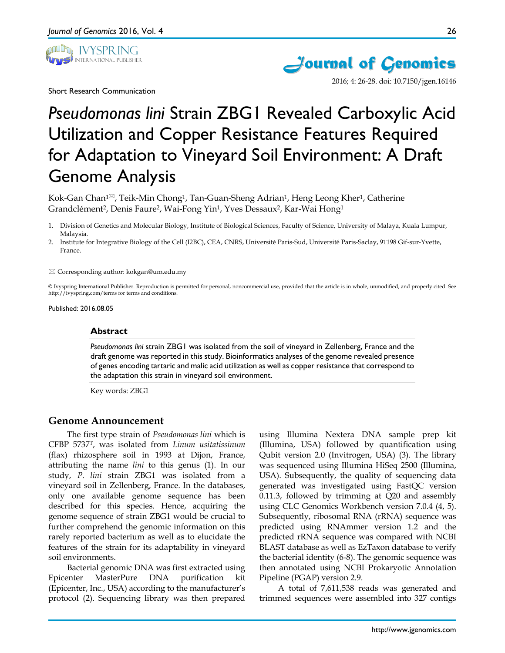

Short Research Communication



2016; 4: 26-28. doi: 10.7150/jgen.16146

# *Pseudomonas lini* Strain ZBG1 Revealed Carboxylic Acid Utilization and Copper Resistance Features Required for Adaptation to Vineyard Soil Environment: A Draft Genome Analysis

Kok-Gan Chan<sup>1 $\boxtimes$ </sup>, Teik-Min Chong<sup>1</sup>, Tan-Guan-Sheng Adrian<sup>1</sup>, Heng Leong Kher<sup>1</sup>, Catherine Grandclément<sup>2</sup>, Denis Faure<sup>2</sup>, Wai-Fong Yin<sup>1</sup>, Yves Dessaux<sup>2</sup>, Kar-Wai Hong<sup>1</sup>

- 1. Division of Genetics and Molecular Biology, Institute of Biological Sciences, Faculty of Science, University of Malaya, Kuala Lumpur, Malaysia.
- 2. Institute for Integrative Biology of the Cell (I2BC), CEA, CNRS, Université Paris-Sud, Université Paris-Saclay, 91198 Gif-sur-Yvette, France.

Corresponding author: kokgan@um.edu.my

© Ivyspring International Publisher. Reproduction is permitted for personal, noncommercial use, provided that the article is in whole, unmodified, and properly cited. See http://ivyspring.com/terms for terms and conditions.

Published: 2016.08.05

#### **Abstract**

*Pseudomonas lini* strain ZBG1 was isolated from the soil of vineyard in Zellenberg, France and the draft genome was reported in this study. Bioinformatics analyses of the genome revealed presence of genes encoding tartaric and malic acid utilization as well as copper resistance that correspond to the adaptation this strain in vineyard soil environment.

Key words: ZBG1

#### **Genome Announcement**

The first type strain of *Pseudomonas lini* which is CFBP 5737T, was isolated from *Linum usitatissinum* (flax) rhizosphere soil in 1993 at Dijon, France, attributing the name *lini* to this genus (1). In our study, *P. lini* strain ZBG1 was isolated from a vineyard soil in Zellenberg, France. In the databases, only one available genome sequence has been described for this species. Hence, acquiring the genome sequence of strain ZBG1 would be crucial to further comprehend the genomic information on this rarely reported bacterium as well as to elucidate the features of the strain for its adaptability in vineyard soil environments.

Bacterial genomic DNA was first extracted using Epicenter MasterPure DNA purification kit (Epicenter, Inc., USA) according to the manufacturer's protocol (2). Sequencing library was then prepared

using Illumina Nextera DNA sample prep kit (Illumina, USA) followed by quantification using Qubit version 2.0 (Invitrogen, USA) (3). The library was sequenced using Illumina HiSeq 2500 (Illumina, USA). Subsequently, the quality of sequencing data generated was investigated using FastQC version 0.11.3, followed by trimming at Q20 and assembly using CLC Genomics Workbench version 7.0.4 (4, 5). Subsequently, ribosomal RNA (rRNA) sequence was predicted using RNAmmer version 1.2 and the predicted rRNA sequence was compared with NCBI BLAST database as well as EzTaxon database to verify the bacterial identity (6-8). The genomic sequence was then annotated using NCBI Prokaryotic Annotation Pipeline (PGAP) version 2.9.

A total of 7,611,538 reads was generated and trimmed sequences were assembled into 327 contigs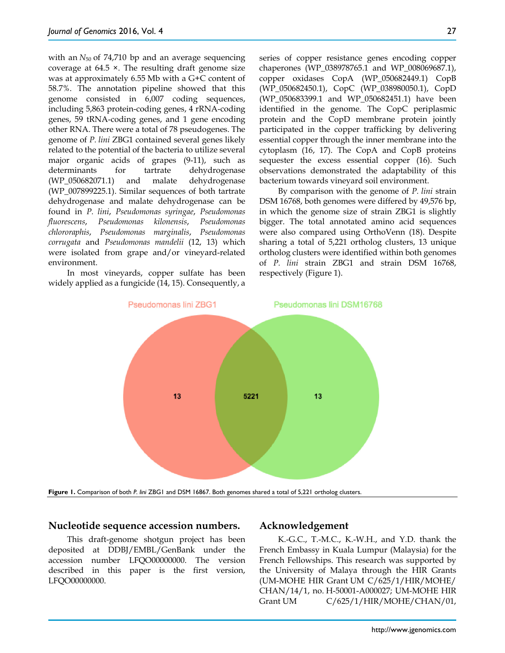with an  $N_{50}$  of 74,710 bp and an average sequencing coverage at 64.5 ×. The resulting draft genome size was at approximately 6.55 Mb with a G+C content of 58.7%. The annotation pipeline showed that this genome consisted in 6,007 coding sequences, including 5,863 protein-coding genes, 4 rRNA-coding genes, 59 tRNA-coding genes, and 1 gene encoding other RNA. There were a total of 78 pseudogenes. The genome of *P. lini* ZBG1 contained several genes likely related to the potential of the bacteria to utilize several major organic acids of grapes (9-11), such as determinants for tartrate dehydrogenase (WP\_050682071.1) and malate dehydrogenase (WP\_007899225.1). Similar sequences of both tartrate dehydrogenase and malate dehydrogenase can be found in *P. lini*, *Pseudomonas syringae*, *Pseudomonas fluorescens*, *Pseudomonas kilonensis*, *Pseudomonas chlororaphis*, *Pseudomonas marginalis*, *Pseudomonas corrugata* and *Pseudomonas mandelii* (12, 13) which were isolated from grape and/or vineyard-related environment.

In most vineyards, copper sulfate has been widely applied as a fungicide (14, 15). Consequently, a

series of copper resistance genes encoding copper chaperones (WP\_038978765.1 and WP\_008069687.1), copper oxidases CopA (WP\_050682449.1) CopB (WP\_050682450.1), CopC (WP\_038980050.1), CopD (WP\_050683399.1 and WP\_050682451.1) have been identified in the genome. The CopC periplasmic protein and the CopD membrane protein jointly participated in the copper trafficking by delivering essential copper through the inner membrane into the cytoplasm (16, 17). The CopA and CopB proteins sequester the excess essential copper (16). Such observations demonstrated the adaptability of this bacterium towards vineyard soil environment.

By comparison with the genome of *P. lini* strain DSM 16768, both genomes were differed by 49,576 bp, in which the genome size of strain ZBG1 is slightly bigger. The total annotated amino acid sequences were also compared using OrthoVenn (18). Despite sharing a total of 5,221 ortholog clusters, 13 unique ortholog clusters were identified within both genomes of *P. lini* strain ZBG1 and strain DSM 16768, respectively (Figure 1).



**Figure 1.** Comparison of both *P. lini* ZBG1 and DSM 16867. Both genomes shared a total of 5,221 ortholog clusters.

#### **Nucleotide sequence accession numbers.**

This draft-genome shotgun project has been deposited at DDBJ/EMBL/GenBank under the accession number LFQO00000000. The version described in this paper is the first version, LFQO00000000.

#### **Acknowledgement**

K.-G.C., T.-M.C., K.-W.H., and Y.D. thank the French Embassy in Kuala Lumpur (Malaysia) for the French Fellowships. This research was supported by the University of Malaya through the HIR Grants (UM-MOHE HIR Grant UM C/625/1/HIR/MOHE/ CHAN/14/1, no. H-50001-A000027; UM-MOHE HIR Grant UM C/625/1/HIR/MOHE/CHAN/01,